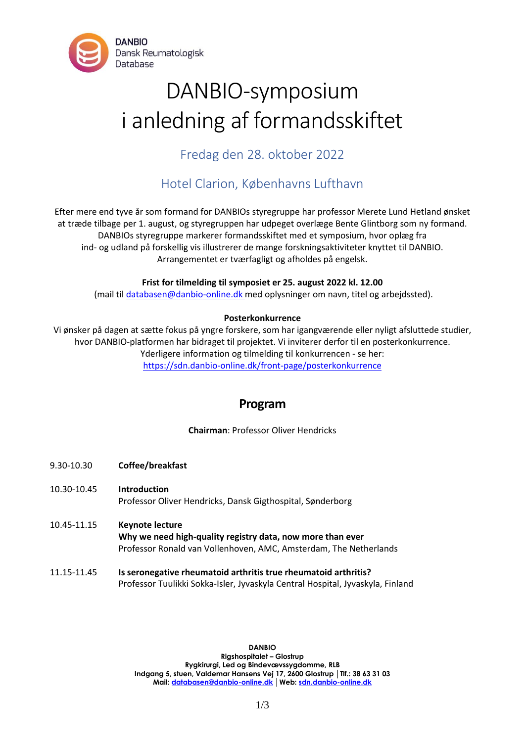

# DANBIO-symposium i anledning af formandsskiftet

Fredag den 28. oktober 2022

## Hotel Clarion, Københavns Lufthavn

Efter mere end tyve år som formand for DANBIOs styregruppe har professor Merete Lund Hetland ønsket at træde tilbage per 1. august, og styregruppen har udpeget overlæge Bente Glintborg som ny formand. DANBIOs styregruppe markerer formandsskiftet med et symposium, hvor oplæg fra ind- og udland på forskellig vis illustrerer de mange forskningsaktiviteter knyttet til DANBIO. Arrangementet er tværfagligt og afholdes på engelsk.

### **Frist for tilmelding til symposiet er 25. august 2022 kl. 12.00**

(mail til [databasen@danbio-online.dk](mailto:databasen@danbio-online.dk) med oplysninger om navn, titel og arbejdssted).

### **Posterkonkurrence**

Vi ønsker på dagen at sætte fokus på yngre forskere, som har igangværende eller nyligt afsluttede studier, hvor DANBIO-platformen har bidraget til projektet. Vi inviterer derfor til en posterkonkurrence. Yderligere information og tilmelding til konkurrencen - se her: <https://sdn.danbio-online.dk/front-page/posterkonkurrence>

## **Program**

**Chairman**: Professor Oliver Hendricks

- 9.30-10.30 **Coffee/breakfast**
- 10.30-10.45 **Introduction** Professor Oliver Hendricks, Dansk Gigthospital, Sønderborg
- 10.45-11.15 **Keynote lecture Why we need high-quality registry data, now more than ever**  Professor Ronald van Vollenhoven, AMC, Amsterdam, The Netherlands
- 11.15-11.45 **Is seronegative rheumatoid arthritis true rheumatoid arthritis?** Professor Tuulikki Sokka-Isler, Jyvaskyla Central Hospital, Jyvaskyla, Finland

**DANBIO Rigshospitalet – Glostrup Rygkirurgi, Led og Bindevævssygdomme, RLB Indgang 5, stuen, Valdemar Hansens Vej 17, 2600 Glostrup │Tlf.: 38 63 31 03 Mail[: databasen@danbio-online.dk](mailto:databasen@danbio-online.dk) │Web: [sdn.danbio-online.dk](http://www.danbio-online.dk/)**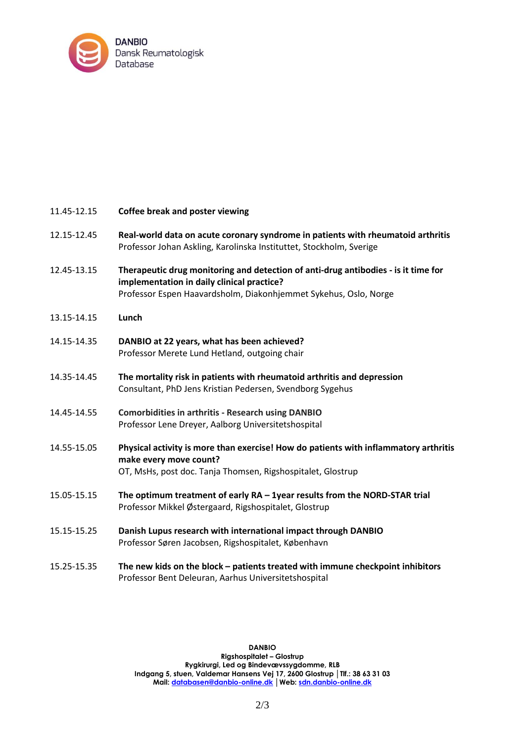

| 11.45-12.15 | <b>Coffee break and poster viewing</b>                                                                                                                                                               |
|-------------|------------------------------------------------------------------------------------------------------------------------------------------------------------------------------------------------------|
| 12.15-12.45 | Real-world data on acute coronary syndrome in patients with rheumatoid arthritis<br>Professor Johan Askling, Karolinska Instituttet, Stockholm, Sverige                                              |
| 12.45-13.15 | Therapeutic drug monitoring and detection of anti-drug antibodies - is it time for<br>implementation in daily clinical practice?<br>Professor Espen Haavardsholm, Diakonhjemmet Sykehus, Oslo, Norge |
| 13.15-14.15 | Lunch                                                                                                                                                                                                |
| 14.15-14.35 | DANBIO at 22 years, what has been achieved?<br>Professor Merete Lund Hetland, outgoing chair                                                                                                         |
| 14.35-14.45 | The mortality risk in patients with rheumatoid arthritis and depression<br>Consultant, PhD Jens Kristian Pedersen, Svendborg Sygehus                                                                 |
| 14.45-14.55 | <b>Comorbidities in arthritis - Research using DANBIO</b><br>Professor Lene Dreyer, Aalborg Universitetshospital                                                                                     |
| 14.55-15.05 | Physical activity is more than exercise! How do patients with inflammatory arthritis<br>make every move count?<br>OT, MsHs, post doc. Tanja Thomsen, Rigshospitalet, Glostrup                        |
| 15.05-15.15 | The optimum treatment of early RA - 1year results from the NORD-STAR trial<br>Professor Mikkel Østergaard, Rigshospitalet, Glostrup                                                                  |
| 15.15-15.25 | Danish Lupus research with international impact through DANBIO<br>Professor Søren Jacobsen, Rigshospitalet, København                                                                                |
| 15.25-15.35 | The new kids on the block - patients treated with immune checkpoint inhibitors<br>Professor Bent Deleuran, Aarhus Universitetshospital                                                               |

**DANBIO Rigshospitalet – Glostrup Rygkirurgi, Led og Bindevævssygdomme, RLB Indgang 5, stuen, Valdemar Hansens Vej 17, 2600 Glostrup │Tlf.: 38 63 31 03 Mail[: databasen@danbio-online.dk](mailto:databasen@danbio-online.dk) │Web: [sdn.danbio-online.dk](http://www.danbio-online.dk/)**